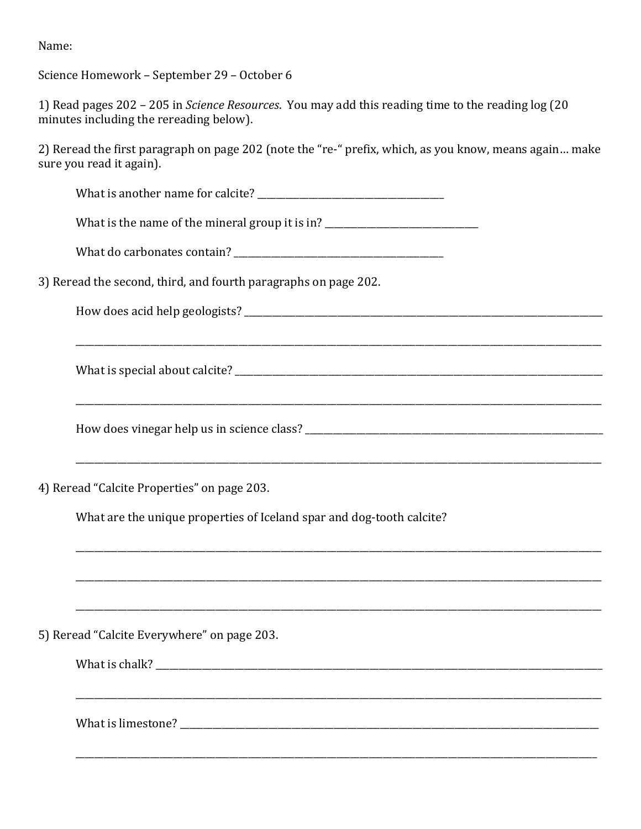Name:

Science Homework - September 29 - October 6

|                                         | 1) Read pages 202 – 205 in Science Resources. You may add this reading time to the reading log (20 |
|-----------------------------------------|----------------------------------------------------------------------------------------------------|
| minutes including the rereading below). |                                                                                                    |

2) Reread the first paragraph on page 202 (note the "re-" prefix, which, as you know, means again... make sure you read it again).

What is the name of the mineral group it is in? \_\_\_\_\_\_\_\_\_\_\_\_\_\_\_\_\_\_\_\_\_\_\_\_\_\_\_\_\_\_\_\_

3) Reread the second, third, and fourth paragraphs on page 202.

How does vinegar help us in science class?

4) Reread "Calcite Properties" on page 203.

What are the unique properties of Iceland spar and dog-tooth calcite?

5) Reread "Calcite Everywhere" on page 203.

| What is chalk? |  |  |  |
|----------------|--|--|--|
|                |  |  |  |
|                |  |  |  |